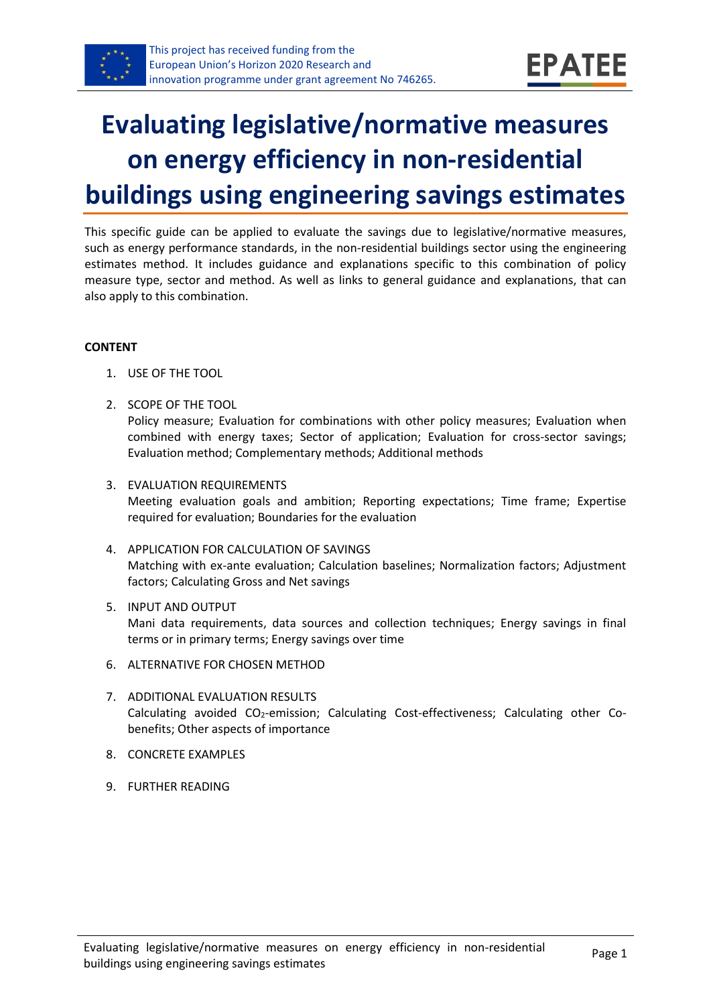

# **Evaluating legislative/normative measures on energy efficiency in non-residential buildings using engineering savings estimates**

This specific guide can be applied to evaluate the savings due to legislative/normative measures, such as energy performance standards, in the non-residential buildings sector using the engineering estimates method. It includes guidance and explanations specific to this combination of policy measure type, sector and method. As well as links to general guidance and explanations, that can also apply to this combination.

#### **CONTENT**

- 1. USE OF THE TOOL
- <span id="page-0-1"></span>2. SCOPE OF THE TOOL Policy measure; Evaluation for combinations with other policy measures; Evaluation when combined with energy taxes; Sector of application; Evaluation for cross-sector savings; Evaluation method; Complementary methods; Additional methods
- <span id="page-0-2"></span>3. EVALUATION REQUIREMENTS Meeting evaluation goals and ambition; Reporting expectations; Time frame; Expertise required for evaluation; Boundaries for the evaluation
- <span id="page-0-3"></span>4. APPLICATION FOR CALCULATION OF SAVINGS Matching with ex-ante evaluation; Calculation baselines; Normalization factors; Adjustment factors; Calculating Gross and Net savings
- <span id="page-0-4"></span>5. INPUT AND OUTPUT Mani data requirements, data sources and collection techniques; Energy savings in final terms or in primary terms; Energy savings over time
- <span id="page-0-0"></span>6. ALTERNATIVE FOR CHOSEN METHOD
- <span id="page-0-5"></span>7. ADDITIONAL EVALUATION RESULTS Calculating avoided CO<sub>2</sub>-emission; Calculating Cost-effectiveness; Calculating other Cobenefits; Other aspects of importance
- <span id="page-0-6"></span>8. CONCRETE EXAMPLES
- <span id="page-0-7"></span>9. FURTHER READING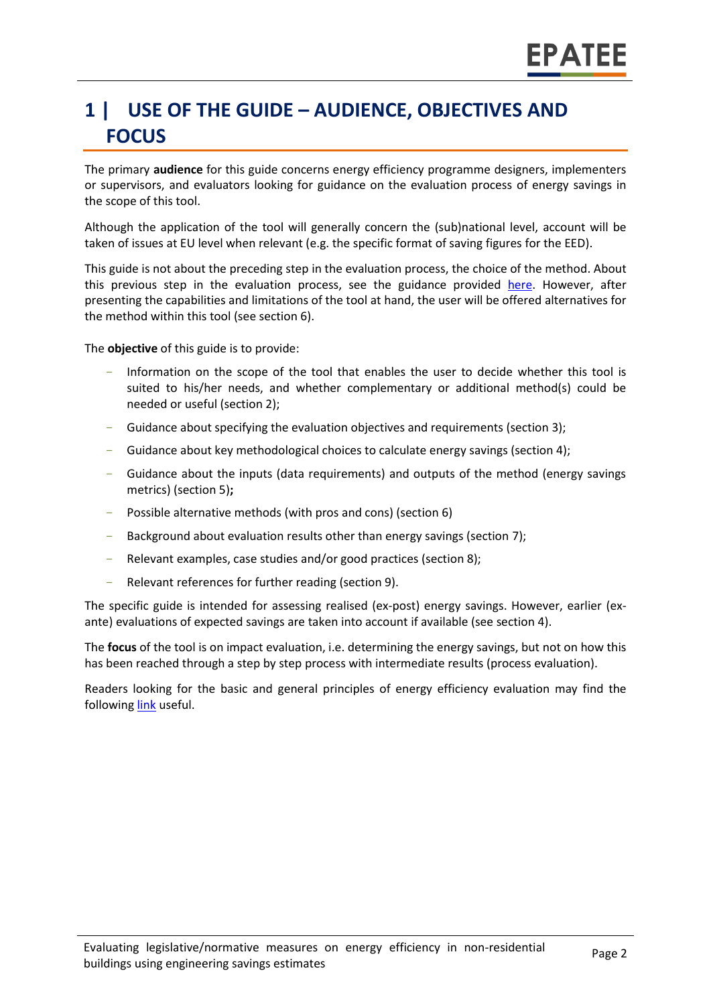# **1 | USE OF THE GUIDE – AUDIENCE, OBJECTIVES AND FOCUS**

The primary **audience** for this guide concerns energy efficiency programme designers, implementers or supervisors, and evaluators looking for guidance on the evaluation process of energy savings in the scope of this tool.

Although the application of the tool will generally concern the (sub)national level, account will be taken of issues at EU level when relevant (e.g. the specific format of saving figures for the EED).

This guide is not about the preceding step in the evaluation process, the choice of the method. About this previous step in the evaluation process, see the guidance provided [here.](https://www.epatee-toolbox.eu/wp-content/uploads/2019/04/epatee_integrating_evaluation_into_policy_cycle.pdf) However, after presenting the capabilities and limitations of the tool at hand, the user will be offered alternatives for the method within this tool (see sectio[n 6\)](#page-0-0).

The **objective** of this guide is to provide:

- Information on the scope of the tool that enables the user to decide whether this tool is suited to his/her needs, and whether complementary or additional method(s) could be needed or useful (sectio[n 2\)](#page-0-1);
- Guidance about specifying the evaluation objectives and requirements (section [3\)](#page-0-2);
- Guidance about key methodological choices to calculate energy savings (section [4\)](#page-0-3);
- Guidance about the inputs (data requirements) and outputs of the method (energy savings metrics) (sectio[n 5\)](#page-0-4)**;**
- Possible alternative methods (with pros and cons) (section [6\)](#page-0-0)
- Background about evaluation results other than energy savings (sectio[n 7\)](#page-0-5);
- Relevant examples, case studies and/or good practices (section [8\)](#page-0-6);
- Relevant references for further reading (section [9\)](#page-0-7).

The specific guide is intended for assessing realised (ex-post) energy savings. However, earlier (exante) evaluations of expected savings are taken into account if available (see section [4\)](#page-0-3).

The **focus** of the tool is on impact evaluation, i.e. determining the energy savings, but not on how this has been reached through a step by step process with intermediate results (process evaluation).

Readers looking for the basic and general principles of energy efficiency evaluation may find the following [link](https://www.epatee-toolbox.eu/evaluation-principles-and-methods/) useful.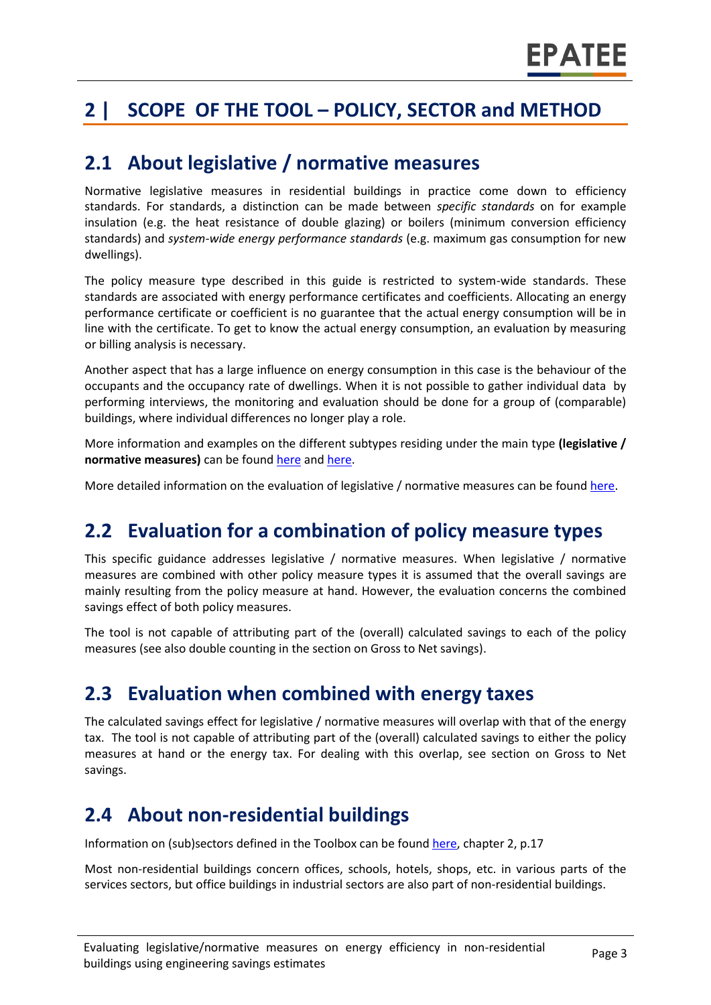# **2 | SCOPE OF THE TOOL – POLICY, SECTOR and METHOD**

#### **2.1 About legislative / normative measures**

Normative legislative measures in residential buildings in practice come down to efficiency standards. For standards, a distinction can be made between *specific standards* on for example insulation (e.g. the heat resistance of double glazing) or boilers (minimum conversion efficiency standards) and *system-wide energy performance standards* (e.g. maximum gas consumption for new dwellings).

The policy measure type described in this guide is restricted to system-wide standards. These standards are associated with energy performance certificates and coefficients. Allocating an energy performance certificate or coefficient is no guarantee that the actual energy consumption will be in line with the certificate. To get to know the actual energy consumption, an evaluation by measuring or billing analysis is necessary.

Another aspect that has a large influence on energy consumption in this case is the behaviour of the occupants and the occupancy rate of dwellings. When it is not possible to gather individual data by performing interviews, the monitoring and evaluation should be done for a group of (comparable) buildings, where individual differences no longer play a role.

More information and examples on the different subtypes residing under the main type **(legislative / normative measures)** can be found [here](http://www.measures-odyssee-mure.eu/) and [here.](https://www.epatee-lib.eu/)

More detailed information on the evaluation of legislative / normative measures can be found [here.](https://ec.europa.eu/energy/intelligent/projects/en/projects/emeees)

#### **2.2 Evaluation for a combination of policy measure types**

This specific guidance addresses legislative / normative measures. When legislative / normative measures are combined with other policy measure types it is assumed that the overall savings are mainly resulting from the policy measure at hand. However, the evaluation concerns the combined savings effect of both policy measures.

The tool is not capable of attributing part of the (overall) calculated savings to each of the policy measures (see also double counting in the section on Gross to Net savings).

#### **2.3 Evaluation when combined with energy taxes**

The calculated savings effect for legislative / normative measures will overlap with that of the energy tax. The tool is not capable of attributing part of the (overall) calculated savings to either the policy measures at hand or the energy tax. For dealing with this overlap, see section on Gross to Net savings.

### **2.4 About non-residential buildings**

Information on (sub)sectors defined in the Toolbox can be found [here,](https://www.epatee-toolbox.eu/wp-content/uploads/2018/10/Definitions-and-typologies-related-to-energy-savings-evaluation.pdf) chapter 2, p.17

Most non-residential buildings concern offices, schools, hotels, shops, etc. in various parts of the services sectors, but office buildings in industrial sectors are also part of non-residential buildings.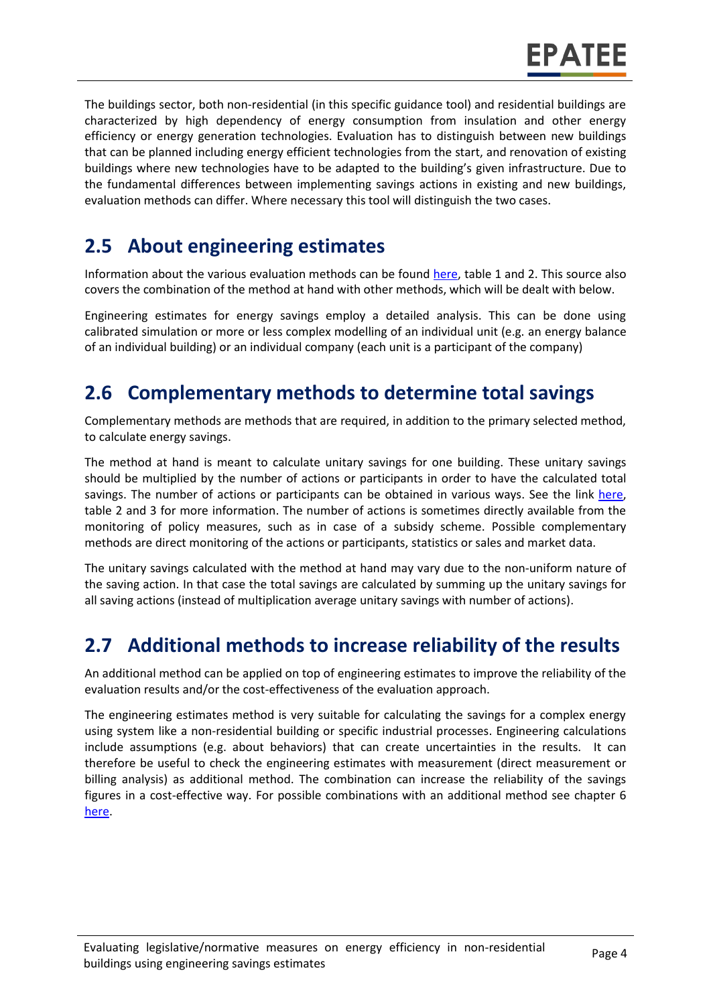The buildings sector, both non-residential (in this specific guidance tool) and residential buildings are characterized by high dependency of energy consumption from insulation and other energy efficiency or energy generation technologies. Evaluation has to distinguish between new buildings that can be planned including energy efficient technologies from the start, and renovation of existing buildings where new technologies have to be adapted to the building's given infrastructure. Due to the fundamental differences between implementing savings actions in existing and new buildings, evaluation methods can differ. Where necessary this tool will distinguish the two cases.

### **2.5 About engineering estimates**

Information about the various evaluation methods can be found [here,](https://www.epatee-toolbox.eu/wp-content/uploads/2019/04/Saving_calculation_methods_for_EPATEE_Toobox_2019_04_24.pdf) table 1 and 2. This source also covers the combination of the method at hand with other methods, which will be dealt with below.

Engineering estimates for energy savings employ a detailed analysis. This can be done using calibrated simulation or more or less complex modelling of an individual unit (e.g. an energy balance of an individual building) or an individual company (each unit is a participant of the company)

## **2.6 Complementary methods to determine total savings**

Complementary methods are methods that are required, in addition to the primary selected method, to calculate energy savings.

The method at hand is meant to calculate unitary savings for one building. These unitary savings should be multiplied by the number of actions or participants in order to have the calculated total savings. The number of actions or participants can be obtained in various ways. See the link [here,](https://www.epatee-toolbox.eu/wp-content/uploads/2019/04/Saving_calculation_methods_for_EPATEE_Toobox_2019_04_24.pdf) table 2 and 3 for more information. The number of actions is sometimes directly available from the monitoring of policy measures, such as in case of a subsidy scheme. Possible complementary methods are direct monitoring of the actions or participants, statistics or sales and market data.

The unitary savings calculated with the method at hand may vary due to the non-uniform nature of the saving action. In that case the total savings are calculated by summing up the unitary savings for all saving actions (instead of multiplication average unitary savings with number of actions).

### **2.7 Additional methods to increase reliability of the results**

An additional method can be applied on top of engineering estimates to improve the reliability of the evaluation results and/or the cost-effectiveness of the evaluation approach.

The engineering estimates method is very suitable for calculating the savings for a complex energy using system like a non-residential building or specific industrial processes. Engineering calculations include assumptions (e.g. about behaviors) that can create uncertainties in the results. It can therefore be useful to check the engineering estimates with measurement (direct measurement or billing analysis) as additional method. The combination can increase the reliability of the savings figures in a cost-effective way. For possible combinations with an additional method see chapter 6 [here.](https://www.epatee-toolbox.eu/wp-content/uploads/2019/04/Saving_calculation_methods_for_EPATEE_Toobox_2019_04_24.pdf)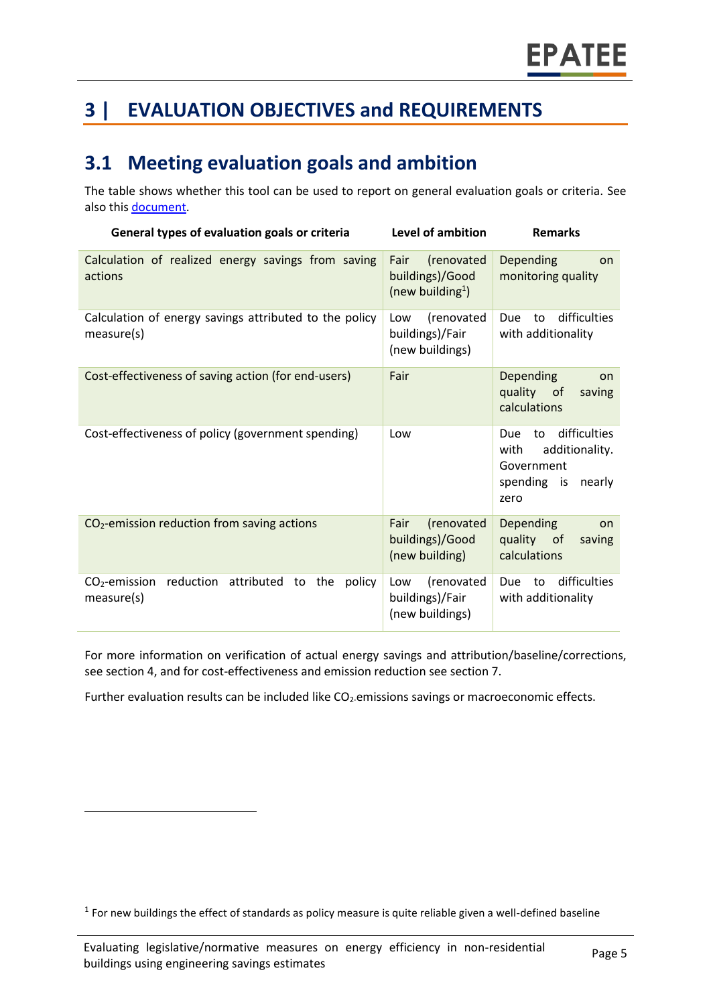# **3 | EVALUATION OBJECTIVES and REQUIREMENTS**

#### **3.1 Meeting evaluation goals and ambition**

The table shows whether this tool can be used to report on general evaluation goals or criteria. See also this [document.](https://www.epatee-lib.eu/media/docs/D4_EMEEES_Final.pdf)

| General types of evaluation goals or criteria                             | Level of ambition                                                     | <b>Remarks</b>                                                                                     |
|---------------------------------------------------------------------------|-----------------------------------------------------------------------|----------------------------------------------------------------------------------------------------|
| Calculation of realized energy savings from saving<br>actions             | Fair<br>(renovated<br>buildings)/Good<br>(new building <sup>1</sup> ) | Depending<br>on<br>monitoring quality                                                              |
| Calculation of energy savings attributed to the policy<br>measure(s)      | (renovated<br>Low<br>buildings)/Fair<br>(new buildings)               | difficulties<br>Due<br>to<br>with additionality                                                    |
| Cost-effectiveness of saving action (for end-users)                       | Fair                                                                  | <b>Depending</b><br>on<br>quality of<br>saving<br>calculations                                     |
| Cost-effectiveness of policy (government spending)                        | Low                                                                   | difficulties<br>Due<br>to<br>additionality.<br>with<br>Government<br>spending is<br>nearly<br>zero |
| CO <sub>2</sub> -emission reduction from saving actions                   | (renovated<br>Fair<br>buildings)/Good<br>(new building)               | <b>Depending</b><br>on<br>quality of<br>saving<br>calculations                                     |
| $CO2$ -emission<br>reduction attributed to<br>the<br>policy<br>measure(s) | (renovated<br>Low<br>buildings)/Fair<br>(new buildings)               | difficulties<br>Due<br>to<br>with additionality                                                    |

For more information on verification of actual energy savings and attribution/baseline/corrections, see section 4, and for cost-effectiveness and emission reduction see section 7.

Further evaluation results can be included like CO<sub>2</sub>-emissions savings or macroeconomic effects.

 $\overline{\phantom{a}}$ 

 $<sup>1</sup>$  For new buildings the effect of standards as policy measure is quite reliable given a well-defined baseline</sup>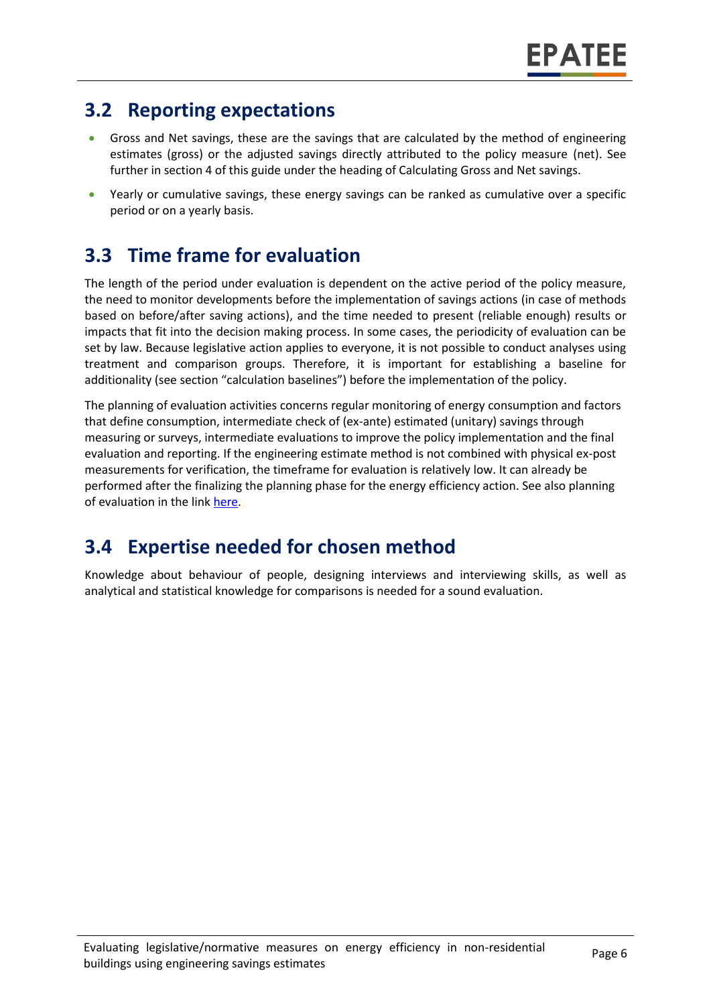### **3.2 Reporting expectations**

- Gross and Net savings, these are the savings that are calculated by the method of engineering estimates (gross) or the adjusted savings directly attributed to the policy measure (net). See further in section 4 of this guide under the heading of Calculating Gross and Net savings.
- Yearly or cumulative savings, these energy savings can be ranked as cumulative over a specific period or on a yearly basis.

# **3.3 Time frame for evaluation**

The length of the period under evaluation is dependent on the active period of the policy measure, the need to monitor developments before the implementation of savings actions (in case of methods based on before/after saving actions), and the time needed to present (reliable enough) results or impacts that fit into the decision making process. In some cases, the periodicity of evaluation can be set by law. Because legislative action applies to everyone, it is not possible to conduct analyses using treatment and comparison groups. Therefore, it is important for establishing a baseline for additionality (see section "calculation baselines") before the implementation of the policy.

The planning of evaluation activities concerns regular monitoring of energy consumption and factors that define consumption, intermediate check of (ex-ante) estimated (unitary) savings through measuring or surveys, intermediate evaluations to improve the policy implementation and the final evaluation and reporting. If the engineering estimate method is not combined with physical ex-post measurements for verification, the timeframe for evaluation is relatively low. It can already be performed after the finalizing the planning phase for the energy efficiency action. See also planning of evaluation in the lin[k here.](https://www.epatee-toolbox.eu/wp-content/uploads/2019/04/epatee_integrating_evaluation_into_policy_cycle.pdf)

### **3.4 Expertise needed for chosen method**

Knowledge about behaviour of people, designing interviews and interviewing skills, as well as analytical and statistical knowledge for comparisons is needed for a sound evaluation.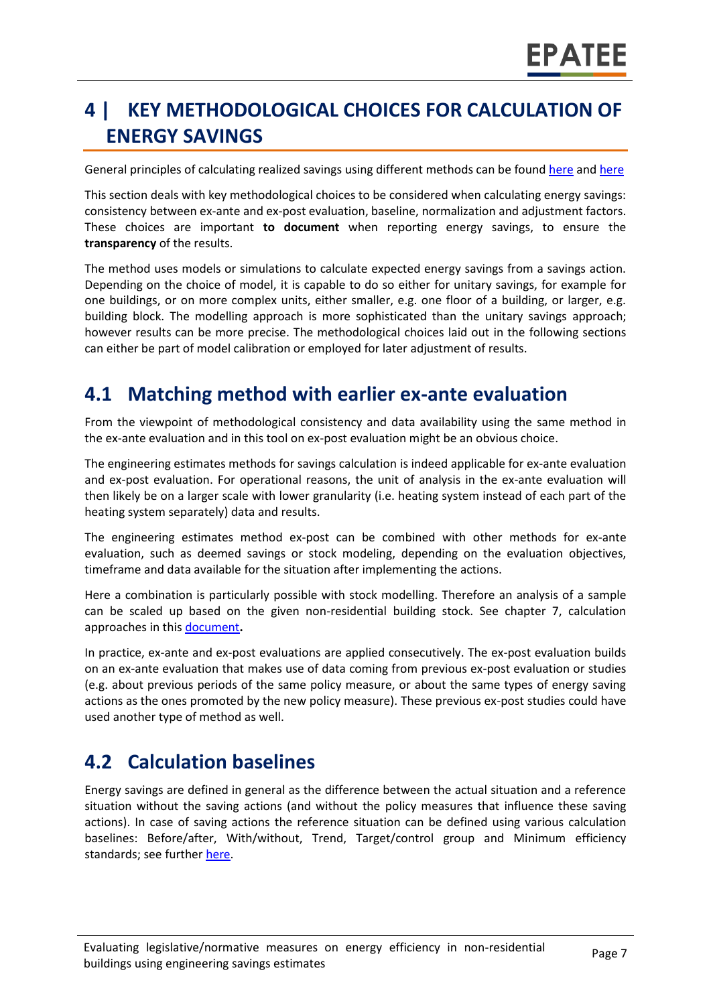# **4 | KEY METHODOLOGICAL CHOICES FOR CALCULATION OF ENERGY SAVINGS**

General principles of calculating realized savings using different methods can be found [here](https://www.epatee-lib.eu/media/docs/D4_EMEEES_Final.pdf) and [here](https://www.epatee-lib.eu/media/docs/EMEEES_WP3_Report_Final.pdf)

This section deals with key methodological choices to be considered when calculating energy savings: consistency between ex-ante and ex-post evaluation, baseline, normalization and adjustment factors. These choices are important **to document** when reporting energy savings, to ensure the **transparency** of the results.

The method uses models or simulations to calculate expected energy savings from a savings action. Depending on the choice of model, it is capable to do so either for unitary savings, for example for one buildings, or on more complex units, either smaller, e.g. one floor of a building, or larger, e.g. building block. The modelling approach is more sophisticated than the unitary savings approach; however results can be more precise. The methodological choices laid out in the following sections can either be part of model calibration or employed for later adjustment of results.

#### **4.1 Matching method with earlier ex-ante evaluation**

From the viewpoint of methodological consistency and data availability using the same method in the ex-ante evaluation and in this tool on ex-post evaluation might be an obvious choice.

The engineering estimates methods for savings calculation is indeed applicable for ex-ante evaluation and ex-post evaluation. For operational reasons, the unit of analysis in the ex-ante evaluation will then likely be on a larger scale with lower granularity (i.e. heating system instead of each part of the heating system separately) data and results.

The engineering estimates method ex-post can be combined with other methods for ex-ante evaluation, such as deemed savings or stock modeling, depending on the evaluation objectives, timeframe and data available for the situation after implementing the actions.

Here a combination is particularly possible with stock modelling. Therefore an analysis of a sample can be scaled up based on the given non-residential building stock. See chapter 7, calculation approaches in this [document](https://www.epatee-toolbox.eu/wp-content/uploads/2019/04/Saving_calculation_methods_for_EPATEE_Toobox_2019_04_24.pdf)**.**

In practice, ex-ante and ex-post evaluations are applied consecutively. The ex-post evaluation builds on an ex-ante evaluation that makes use of data coming from previous ex-post evaluation or studies (e.g. about previous periods of the same policy measure, or about the same types of energy saving actions as the ones promoted by the new policy measure). These previous ex-post studies could have used another type of method as well.

#### **4.2 Calculation baselines**

Energy savings are defined in general as the difference between the actual situation and a reference situation without the saving actions (and without the policy measures that influence these saving actions). In case of saving actions the reference situation can be defined using various calculation baselines: Before/after, With/without, Trend, Target/control group and Minimum efficiency standards; see further [here.](https://www.epatee-toolbox.eu/wp-content/uploads/2019/04/Application_of_KB_savings_baselines_and_correction_factors_in_the_Toolbox_and_PSMCs_190418_.pdf)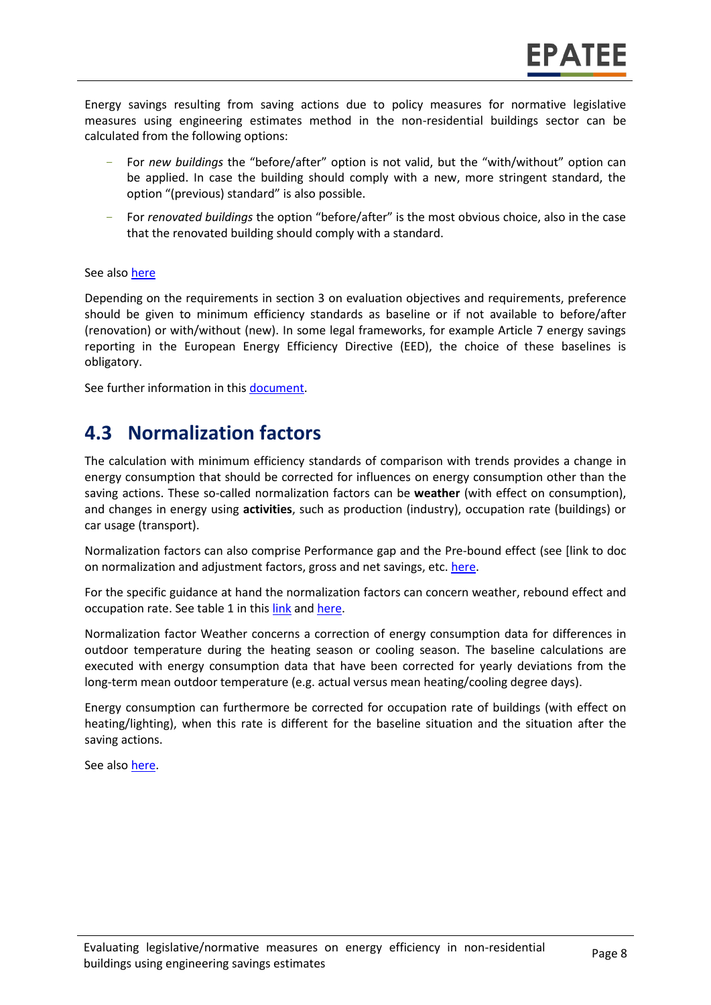Energy savings resulting from saving actions due to policy measures for normative legislative measures using engineering estimates method in the non-residential buildings sector can be calculated from the following options:

- For *new buildings* the "before/after" option is not valid, but the "with/without" option can be applied. In case the building should comply with a new, more stringent standard, the option "(previous) standard" is also possible.
- For *renovated buildings* the option "before/after" is the most obvious choice, also in the case that the renovated building should comply with a standard.

#### See also [here](https://www.epatee-toolbox.eu/wp-content/uploads/2019/04/Application_of_KB_savings_baselines_and_correction_factors_in_the_Toolbox_and_PSMCs_190418_.pdf)

Depending on the requirements in section 3 on evaluation objectives and requirements, preference should be given to minimum efficiency standards as baseline or if not available to before/after (renovation) or with/without (new). In some legal frameworks, for example Article 7 energy savings reporting in the European Energy Efficiency Directive (EED), the choice of these baselines is obligatory.

See further information in this [document.](https://www.academia.edu/14979876/Evaluating_energy_efficiency_policy_measures_and_DSM_programmes)

#### **4.3 Normalization factors**

The calculation with minimum efficiency standards of comparison with trends provides a change in energy consumption that should be corrected for influences on energy consumption other than the saving actions. These so-called normalization factors can be **weather** (with effect on consumption), and changes in energy using **activities**, such as production (industry), occupation rate (buildings) or car usage (transport).

Normalization factors can also comprise Performance gap and the Pre-bound effect (see [link to doc on normalization and adjustment factors, gross and net savings, etc. [here.](https://www.epatee-toolbox.eu/wp-content/uploads/2019/04/Saving_calculation_methods_for_EPATEE_Toobox_2019_04_24.pdf)

For the specific guidance at hand the normalization factors can concern weather, rebound effect and occupation rate. See table 1 in this [link](https://www.epatee-toolbox.eu/wp-content/uploads/2019/04/Saving_calculation_methods_for_EPATEE_Toobox_2019_04_24.pdf) an[d here.](https://www.academia.edu/14979876/Evaluating_energy_efficiency_policy_measures_and_DSM_programmes)

Normalization factor Weather concerns a correction of energy consumption data for differences in outdoor temperature during the heating season or cooling season. The baseline calculations are executed with energy consumption data that have been corrected for yearly deviations from the long-term mean outdoor temperature (e.g. actual versus mean heating/cooling degree days).

Energy consumption can furthermore be corrected for occupation rate of buildings (with effect on heating/lighting), when this rate is different for the baseline situation and the situation after the saving actions.

See also [here.](https://www.researchgate.net/publication/258260849_Evaluating_energy_efficiency_policy_measures_DSM_programmes)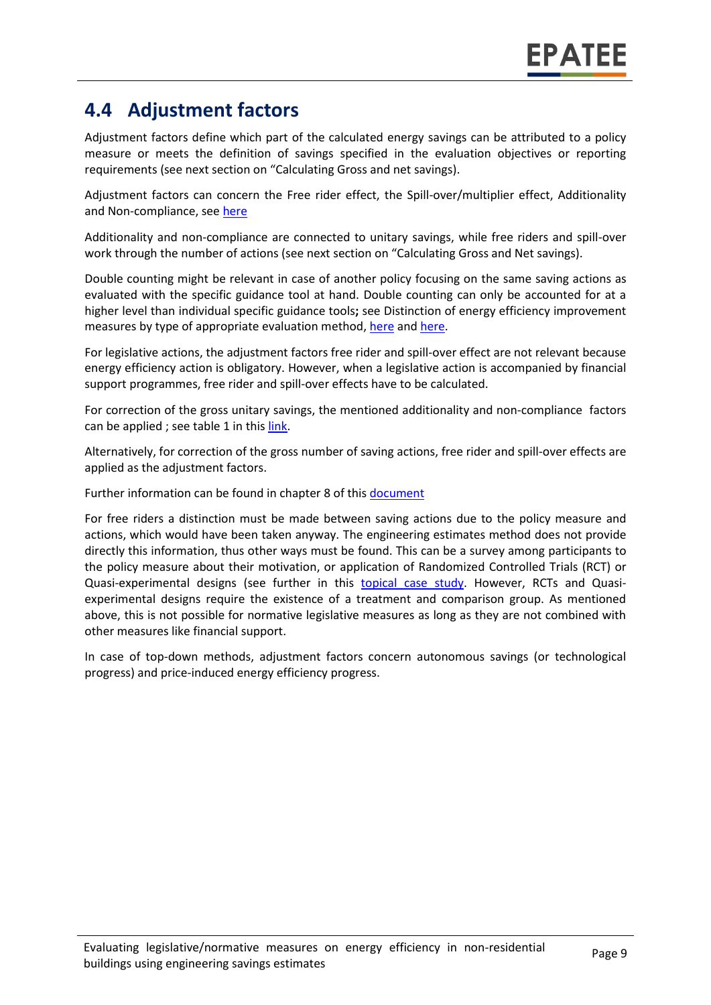#### **4.4 Adjustment factors**

Adjustment factors define which part of the calculated energy savings can be attributed to a policy measure or meets the definition of savings specified in the evaluation objectives or reporting requirements (see next section on "Calculating Gross and net savings).

Adjustment factors can concern the Free rider effect, the Spill-over/multiplier effect, Additionality and Non-compliance, se[e here](https://www.epatee-toolbox.eu/evaluation-principles-and-methods/general-principles/saving-calculation-methods-and-their-application-in-the-epatee-toolbox/)

Additionality and non-compliance are connected to unitary savings, while free riders and spill-over work through the number of actions (see next section on "Calculating Gross and Net savings).

Double counting might be relevant in case of another policy focusing on the same saving actions as evaluated with the specific guidance tool at hand. Double counting can only be accounted for at a higher level than individual specific guidance tools**;** see Distinction of energy efficiency improvement measures by type of appropriate evaluation method, [here](https://www.epatee-lib.eu/media/docs/EMEEES_WP2_D1_Assessment_existing_evaluation_2008-04-21.pdf) and [here.](https://www.academia.edu/14979876/Evaluating_energy_efficiency_policy_measures_and_DSM_programmes)

For legislative actions, the adjustment factors free rider and spill-over effect are not relevant because energy efficiency action is obligatory. However, when a legislative action is accompanied by financial support programmes, free rider and spill-over effects have to be calculated.

For correction of the gross unitary savings, the mentioned additionality and non-compliance factors can be applied; see table 1 in thi[s link.](https://www.epatee-toolbox.eu/evaluation-principles-and-methods/general-principles/saving-calculation-methods-and-their-application-in-the-epatee-toolbox/)

Alternatively, for correction of the gross number of saving actions, free rider and spill-over effects are applied as the adjustment factors.

Further information can be found in chapter 8 of thi[s document](https://www.epatee-toolbox.eu/wp-content/uploads/2019/04/Saving_calculation_methods_for_EPATEE_Toobox_2019_04_24.pdf)

For free riders a distinction must be made between saving actions due to the policy measure and actions, which would have been taken anyway. The engineering estimates method does not provide directly this information, thus other ways must be found. This can be a survey among participants to the policy measure about their motivation, or application of Randomized Controlled Trials (RCT) or Quasi-experimental designs (see further in this [topical case study.](https://www.epatee-toolbox.eu/evaluation-principles-and-methods/epatee-topical-case-study-evaluating-net-energy-savings/) However, RCTs and Quasiexperimental designs require the existence of a treatment and comparison group. As mentioned above, this is not possible for normative legislative measures as long as they are not combined with other measures like financial support.

In case of top-down methods, adjustment factors concern autonomous savings (or technological progress) and price-induced energy efficiency progress.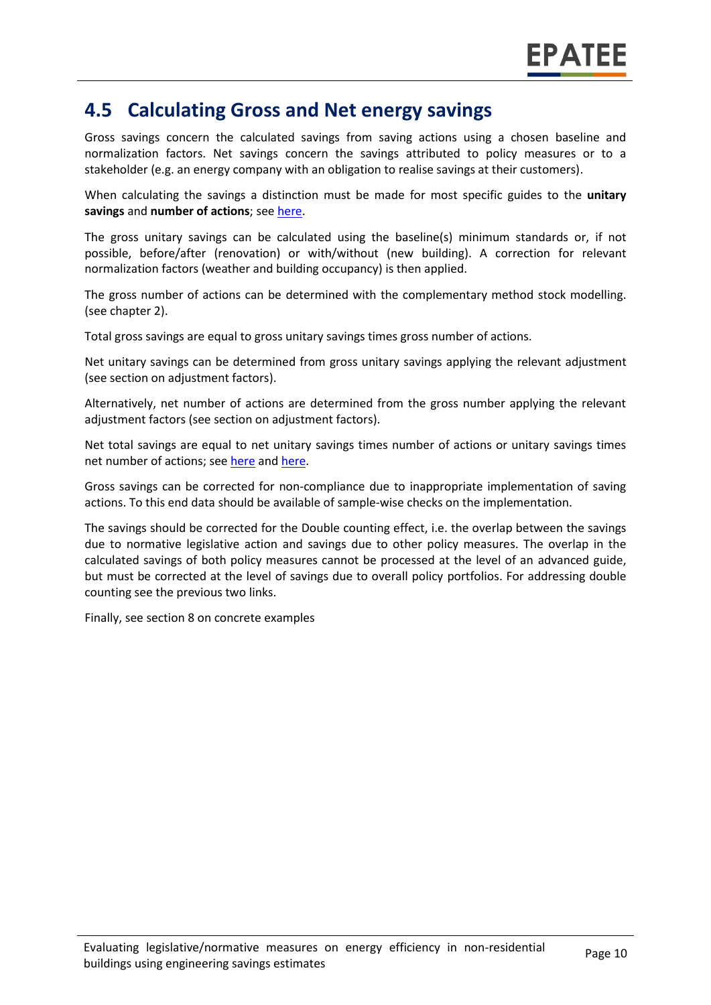#### **4.5 Calculating Gross and Net energy savings**

Gross savings concern the calculated savings from saving actions using a chosen baseline and normalization factors. Net savings concern the savings attributed to policy measures or to a stakeholder (e.g. an energy company with an obligation to realise savings at their customers).

When calculating the savings a distinction must be made for most specific guides to the **unitary savings** and **number of actions**; see [here.](https://ec.europa.eu/energy/intelligent/projects/en/projects/emeees)

The gross unitary savings can be calculated using the baseline(s) minimum standards or, if not possible, before/after (renovation) or with/without (new building). A correction for relevant normalization factors (weather and building occupancy) is then applied.

The gross number of actions can be determined with the complementary method stock modelling. (see chapter 2).

Total gross savings are equal to gross unitary savings times gross number of actions.

Net unitary savings can be determined from gross unitary savings applying the relevant adjustment (see section on adjustment factors).

Alternatively, net number of actions are determined from the gross number applying the relevant adjustment factors (see section on adjustment factors).

Net total savings are equal to net unitary savings times number of actions or unitary savings times net number of actions; see [here](https://www.academia.edu/14979876/Evaluating_energy_efficiency_policy_measures_and_DSM_programmes) an[d here.](https://www.epatee-lib.eu/media/docs/D4_EMEEES_Final.pdf)

Gross savings can be corrected for non-compliance due to inappropriate implementation of saving actions. To this end data should be available of sample-wise checks on the implementation.

The savings should be corrected for the Double counting effect, i.e. the overlap between the savings due to normative legislative action and savings due to other policy measures. The overlap in the calculated savings of both policy measures cannot be processed at the level of an advanced guide, but must be corrected at the level of savings due to overall policy portfolios. For addressing double counting see the previous two links.

Finally, see section 8 on concrete examples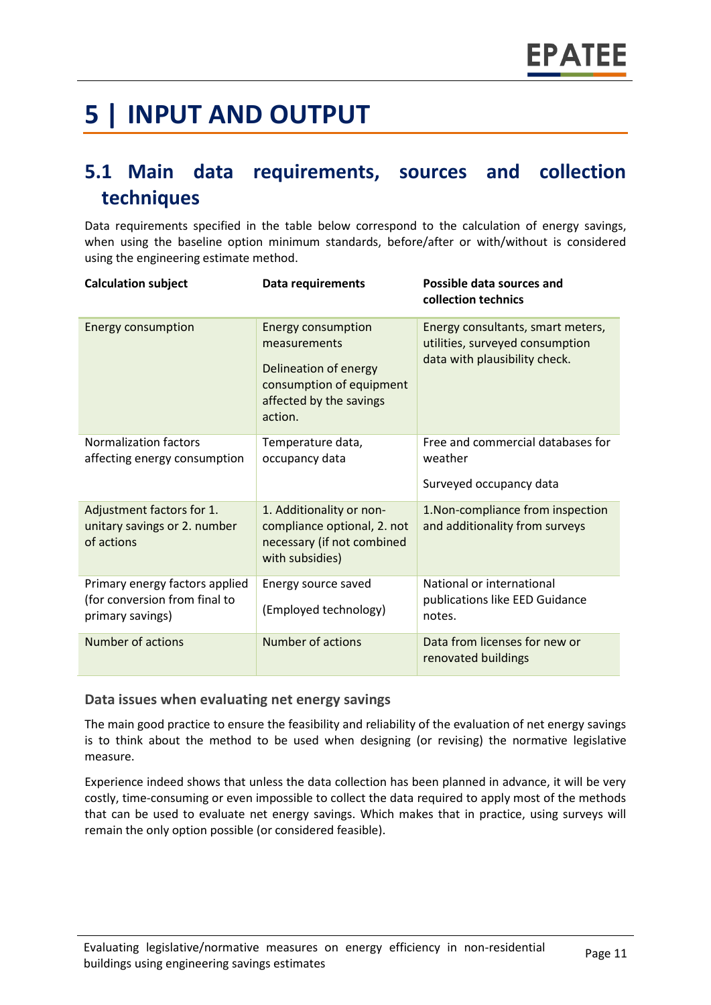# **5 | INPUT AND OUTPUT**

# **5.1 Main data requirements, sources and collection techniques**

Data requirements specified in the table below correspond to the calculation of energy savings, when using the baseline option minimum standards, before/after or with/without is considered using the engineering estimate method.

| <b>Calculation subject</b>                                                          | <b>Data requirements</b>                                                                                                             | Possible data sources and<br>collection technics                                                      |
|-------------------------------------------------------------------------------------|--------------------------------------------------------------------------------------------------------------------------------------|-------------------------------------------------------------------------------------------------------|
| <b>Energy consumption</b>                                                           | <b>Energy consumption</b><br>measurements<br>Delineation of energy<br>consumption of equipment<br>affected by the savings<br>action. | Energy consultants, smart meters,<br>utilities, surveyed consumption<br>data with plausibility check. |
| <b>Normalization factors</b><br>affecting energy consumption                        | Temperature data,<br>occupancy data                                                                                                  | Free and commercial databases for<br>weather<br>Surveyed occupancy data                               |
| Adjustment factors for 1.<br>unitary savings or 2. number<br>of actions             | 1. Additionality or non-<br>compliance optional, 2. not<br>necessary (if not combined<br>with subsidies)                             | 1.Non-compliance from inspection<br>and additionality from surveys                                    |
| Primary energy factors applied<br>(for conversion from final to<br>primary savings) | Energy source saved<br>(Employed technology)                                                                                         | National or international<br>publications like EED Guidance<br>notes.                                 |
| <b>Number of actions</b>                                                            | <b>Number of actions</b>                                                                                                             | Data from licenses for new or<br>renovated buildings                                                  |

#### **Data issues when evaluating net energy savings**

The main good practice to ensure the feasibility and reliability of the evaluation of net energy savings is to think about the method to be used when designing (or revising) the normative legislative measure.

Experience indeed shows that unless the data collection has been planned in advance, it will be very costly, time-consuming or even impossible to collect the data required to apply most of the methods that can be used to evaluate net energy savings. Which makes that in practice, using surveys will remain the only option possible (or considered feasible).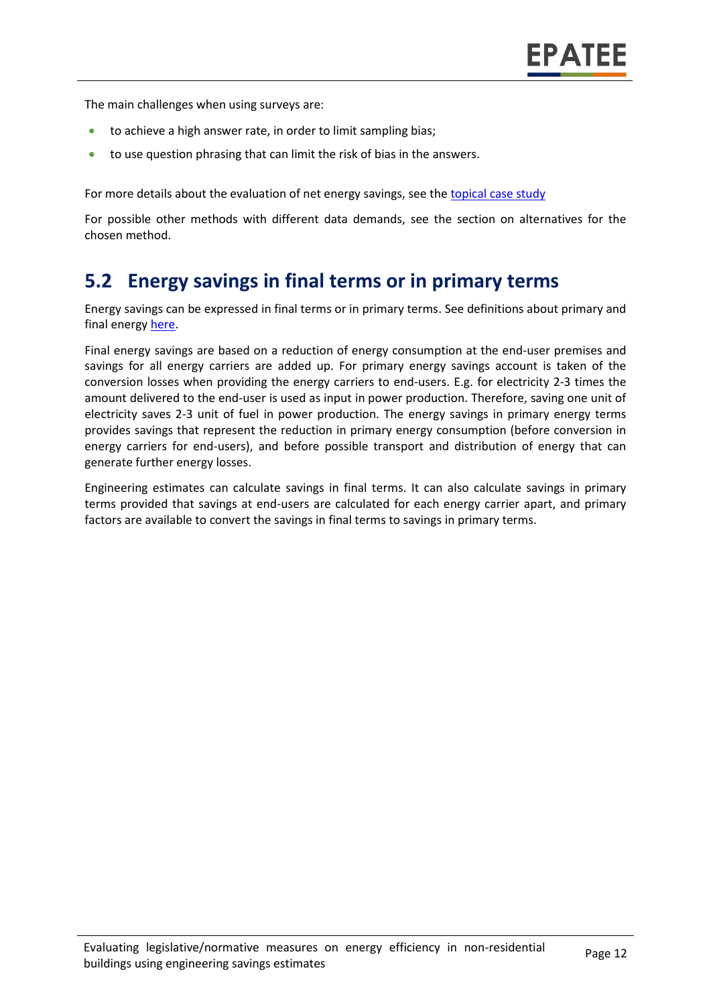The main challenges when using surveys are:

- to achieve a high answer rate, in order to limit sampling bias;
- to use question phrasing that can limit the risk of bias in the answers.

For more details about the evaluation of net energy savings, see the [topical case study](https://www.epatee-toolbox.eu/wp-content/uploads/2018/10/epatee_topical_case_study_evaluating_net_energy_savings.pdf)

For possible other methods with different data demands, see the section on alternatives for the chosen method.

#### **5.2 Energy savings in final terms or in primary terms**

Energy savings can be expressed in final terms or in primary terms. See definitions about primary and final energy [here.](https://www.epatee-toolbox.eu/wp-content/uploads/2018/10/Definitions-and-typologies-related-to-energy-savings-evaluation.pdf)

Final energy savings are based on a reduction of energy consumption at the end-user premises and savings for all energy carriers are added up. For primary energy savings account is taken of the conversion losses when providing the energy carriers to end-users. E.g. for electricity 2-3 times the amount delivered to the end-user is used as input in power production. Therefore, saving one unit of electricity saves 2-3 unit of fuel in power production. The energy savings in primary energy terms provides savings that represent the reduction in primary energy consumption (before conversion in energy carriers for end-users), and before possible transport and distribution of energy that can generate further energy losses.

Engineering estimates can calculate savings in final terms. It can also calculate savings in primary terms provided that savings at end-users are calculated for each energy carrier apart, and primary factors are available to convert the savings in final terms to savings in primary terms.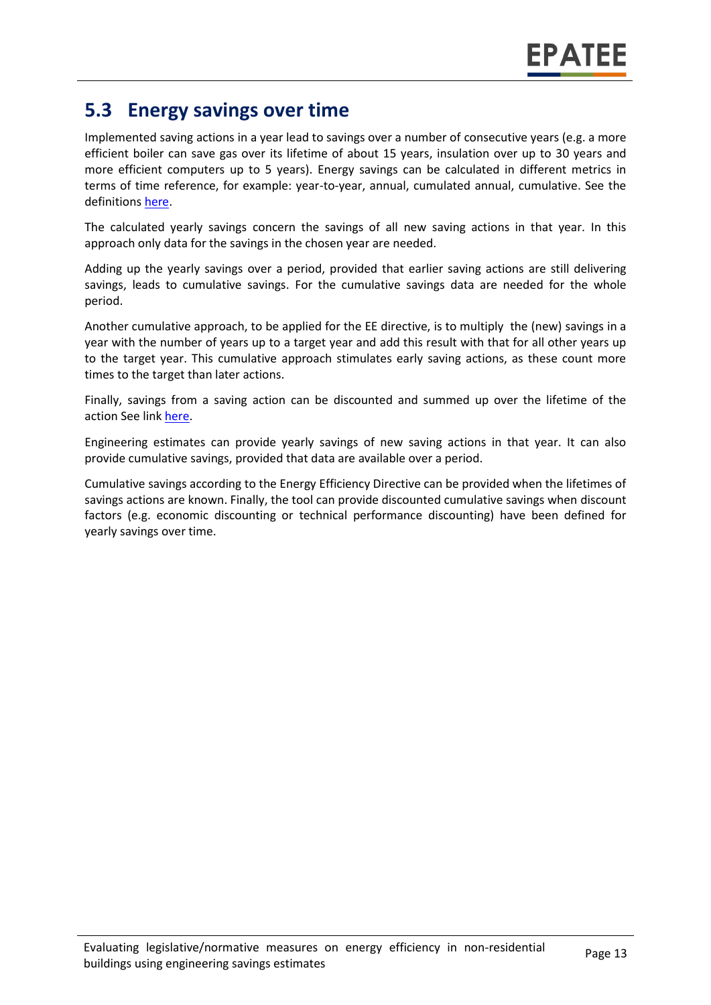#### **5.3 Energy savings over time**

Implemented saving actions in a year lead to savings over a number of consecutive years (e.g. a more efficient boiler can save gas over its lifetime of about 15 years, insulation over up to 30 years and more efficient computers up to 5 years). Energy savings can be calculated in different metrics in terms of time reference, for example: year-to-year, annual, cumulated annual, cumulative. See the definitions [here.](https://www.epatee-toolbox.eu/wp-content/uploads/2018/10/Definitions-and-typologies-related-to-energy-savings-evaluation.pdf)

The calculated yearly savings concern the savings of all new saving actions in that year. In this approach only data for the savings in the chosen year are needed.

Adding up the yearly savings over a period, provided that earlier saving actions are still delivering savings, leads to cumulative savings. For the cumulative savings data are needed for the whole period.

Another cumulative approach, to be applied for the EE directive, is to multiply the (new) savings in a year with the number of years up to a target year and add this result with that for all other years up to the target year. This cumulative approach stimulates early saving actions, as these count more times to the target than later actions.

Finally, savings from a saving action can be discounted and summed up over the lifetime of the action See link [here.](https://www.epatee-toolbox.eu/wp-content/uploads/2018/10/Definitions-and-typologies-related-to-energy-savings-evaluation.pdf)

Engineering estimates can provide yearly savings of new saving actions in that year. It can also provide cumulative savings, provided that data are available over a period.

Cumulative savings according to the Energy Efficiency Directive can be provided when the lifetimes of savings actions are known. Finally, the tool can provide discounted cumulative savings when discount factors (e.g. economic discounting or technical performance discounting) have been defined for yearly savings over time.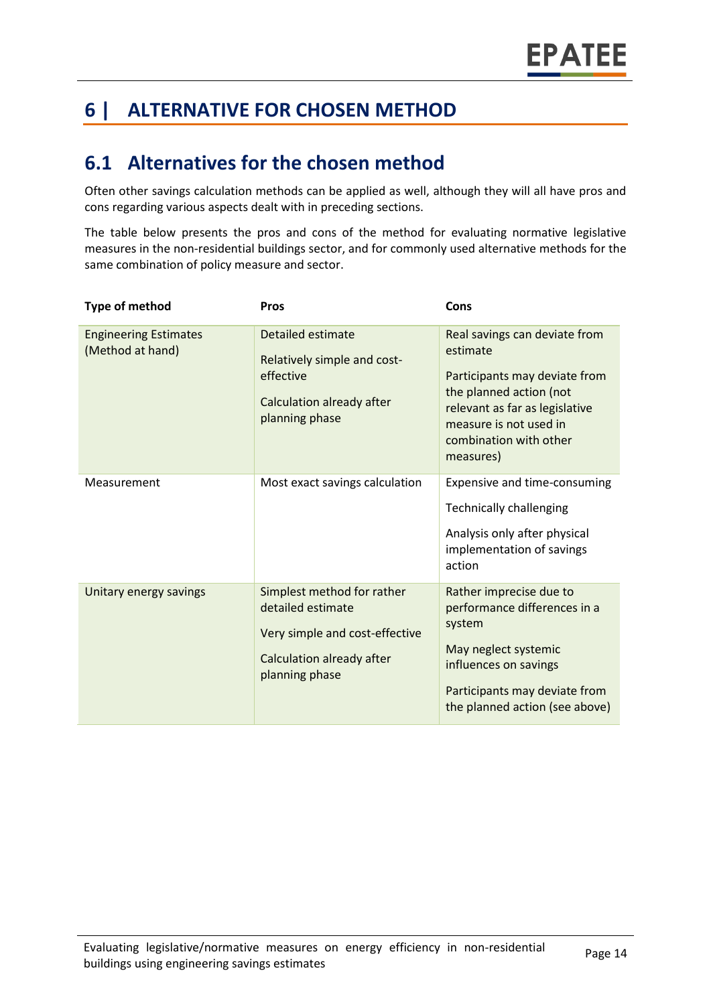# **6 | ALTERNATIVE FOR CHOSEN METHOD**

### **6.1 Alternatives for the chosen method**

Often other savings calculation methods can be applied as well, although they will all have pros and cons regarding various aspects dealt with in preceding sections.

The table below presents the pros and cons of the method for evaluating normative legislative measures in the non-residential buildings sector, and for commonly used alternative methods for the same combination of policy measure and sector.

| <b>Type of method</b>                            | <b>Pros</b>                                                                                                                      | Cons                                                                                                                                                                                                     |
|--------------------------------------------------|----------------------------------------------------------------------------------------------------------------------------------|----------------------------------------------------------------------------------------------------------------------------------------------------------------------------------------------------------|
| <b>Engineering Estimates</b><br>(Method at hand) | <b>Detailed estimate</b><br>Relatively simple and cost-<br>effective<br>Calculation already after<br>planning phase              | Real savings can deviate from<br>estimate<br>Participants may deviate from<br>the planned action (not<br>relevant as far as legislative<br>measure is not used in<br>combination with other<br>measures) |
| Measurement                                      | Most exact savings calculation                                                                                                   | Expensive and time-consuming<br><b>Technically challenging</b><br>Analysis only after physical<br>implementation of savings<br>action                                                                    |
| Unitary energy savings                           | Simplest method for rather<br>detailed estimate<br>Very simple and cost-effective<br>Calculation already after<br>planning phase | Rather imprecise due to<br>performance differences in a<br>system<br>May neglect systemic<br>influences on savings<br>Participants may deviate from<br>the planned action (see above)                    |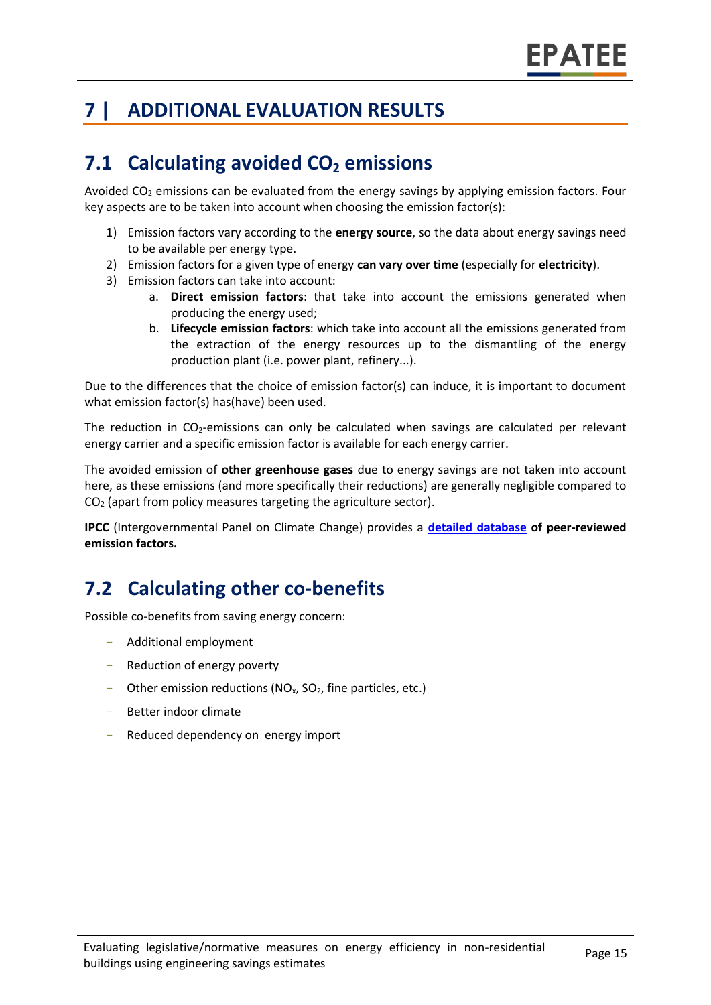# **7 | ADDITIONAL EVALUATION RESULTS**

# **7.1 Calculating avoided CO<sup>2</sup> emissions**

Avoided  $CO<sub>2</sub>$  emissions can be evaluated from the energy savings by applying emission factors. Four key aspects are to be taken into account when choosing the emission factor(s):

- 1) Emission factors vary according to the **energy source**, so the data about energy savings need to be available per energy type.
- 2) Emission factors for a given type of energy **can vary over time** (especially for **electricity**).
- 3) Emission factors can take into account:
	- a. **Direct emission factors**: that take into account the emissions generated when producing the energy used;
	- b. **Lifecycle emission factors**: which take into account all the emissions generated from the extraction of the energy resources up to the dismantling of the energy production plant (i.e. power plant, refinery...).

Due to the differences that the choice of emission factor(s) can induce, it is important to document what emission factor(s) has(have) been used.

The reduction in  $CO<sub>2</sub>$ -emissions can only be calculated when savings are calculated per relevant energy carrier and a specific emission factor is available for each energy carrier.

The avoided emission of **other greenhouse gases** due to energy savings are not taken into account here, as these emissions (and more specifically their reductions) are generally negligible compared to  $CO<sub>2</sub>$  (apart from policy measures targeting the agriculture sector).

**IPCC** (Intergovernmental Panel on Climate Change) provides a **[detailed database](https://www.ipcc-nggip.iges.or.jp/EFDB/main.php) of peer-reviewed emission factors.** 

# **7.2 Calculating other co-benefits**

Possible co-benefits from saving energy concern:

- Additional employment
- Reduction of energy poverty
- Other emission reductions ( $NO<sub>x</sub>$ ,  $SO<sub>2</sub>$ , fine particles, etc.)
- Better indoor climate
- Reduced dependency on energy import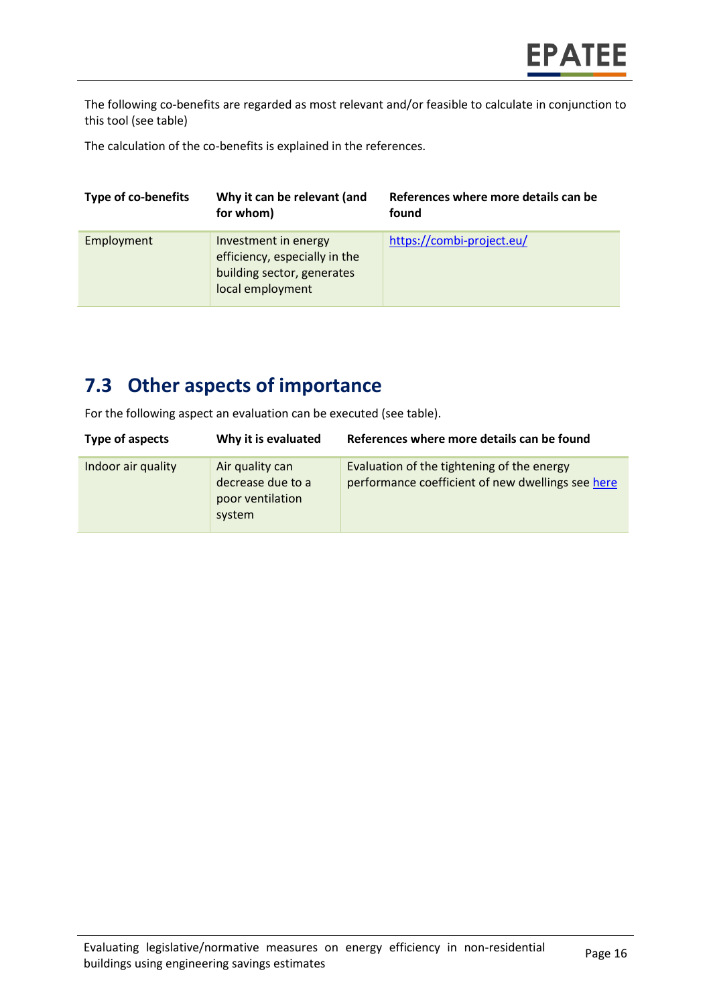The following co-benefits are regarded as most relevant and/or feasible to calculate in conjunction to this tool (see table)

The calculation of the co-benefits is explained in the references.

| <b>Type of co-benefits</b> | Why it can be relevant (and<br>for whom)                                                                | References where more details can be<br>found |
|----------------------------|---------------------------------------------------------------------------------------------------------|-----------------------------------------------|
| Employment                 | Investment in energy<br>efficiency, especially in the<br>building sector, generates<br>local employment | https://combi-project.eu/                     |

#### **7.3 Other aspects of importance**

For the following aspect an evaluation can be executed (see table).

| Type of aspects    | Why it is evaluated                                                | References where more details can be found                                                      |
|--------------------|--------------------------------------------------------------------|-------------------------------------------------------------------------------------------------|
| Indoor air quality | Air quality can<br>decrease due to a<br>poor ventilation<br>system | Evaluation of the tightening of the energy<br>performance coefficient of new dwellings see here |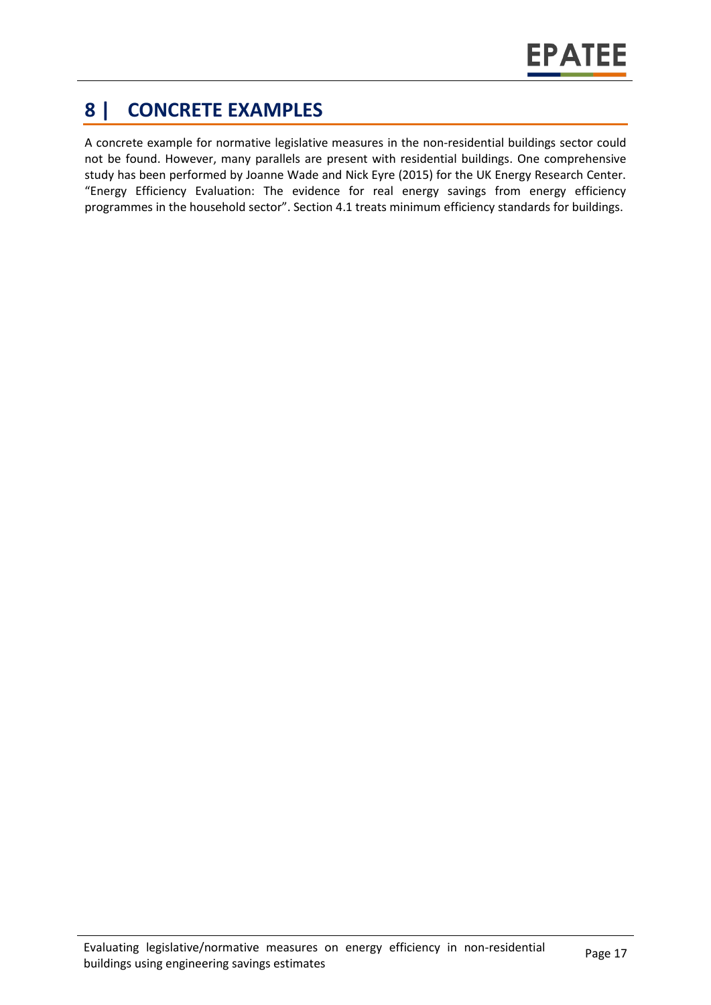# **8 | CONCRETE EXAMPLES**

A concrete example for normative legislative measures in the non-residential buildings sector could not be found. However, many parallels are present with residential buildings. One comprehensive study has been performed by Joanne Wade and Nick Eyre (2015) for the UK Energy Research Center. "Energy Efficiency Evaluation: The evidence for real energy savings from energy efficiency programmes in the household sector". Section 4.1 treats minimum efficiency standards for buildings.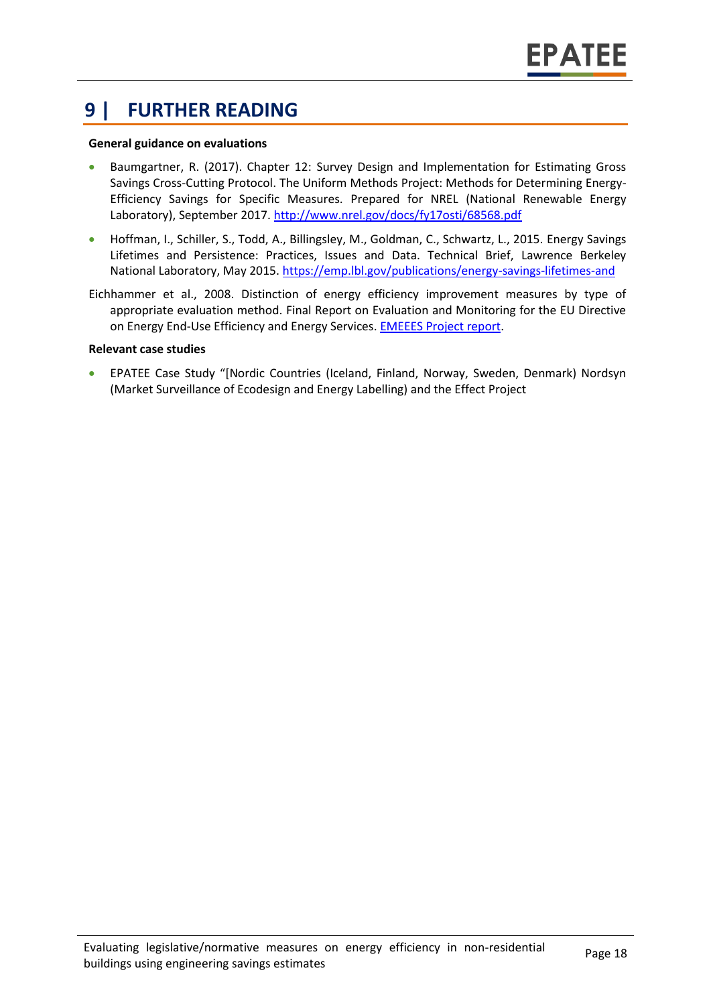#### **9 | FURTHER READING**

#### **General guidance on evaluations**

- Baumgartner, R. (2017). Chapter 12: Survey Design and Implementation for Estimating Gross Savings Cross-Cutting Protocol. The Uniform Methods Project: Methods for Determining Energy-Efficiency Savings for Specific Measures. Prepared for NREL (National Renewable Energy Laboratory), September 2017.<http://www.nrel.gov/docs/fy17osti/68568.pdf>
- Hoffman, I., Schiller, S., Todd, A., Billingsley, M., Goldman, C., Schwartz, L., 2015. Energy Savings Lifetimes and Persistence: Practices, Issues and Data. Technical Brief, Lawrence Berkeley National Laboratory, May 2015[. https://emp.lbl.gov/publications/energy-savings-lifetimes-and](https://emp.lbl.gov/publications/energy-savings-lifetimes-and)
- Eichhammer et al., 2008. Distinction of energy efficiency improvement measures by type of appropriate evaluation method. Final Report on Evaluation and Monitoring for the EU Directive on Energy End-Use Efficiency and Energy Services. [EMEEES Project report.](https://ec.europa.eu/energy/intelligent/projects/en/projects/emeees)

#### **Relevant case studies**

• EPATEE Case Study "[Nordic Countries (Iceland, Finland, Norway, Sweden, Denmark) Nordsyn (Market Surveillance of Ecodesign and Energy Labelling) and the Effect Project